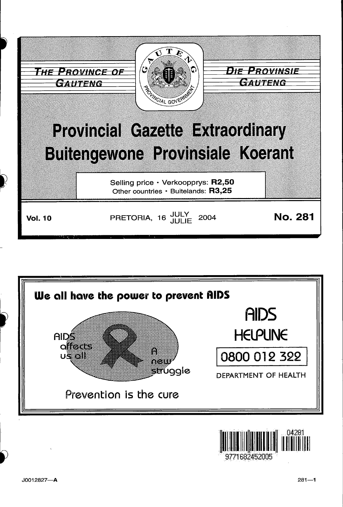

![](_page_0_Figure_1.jpeg)

![](_page_0_Picture_2.jpeg)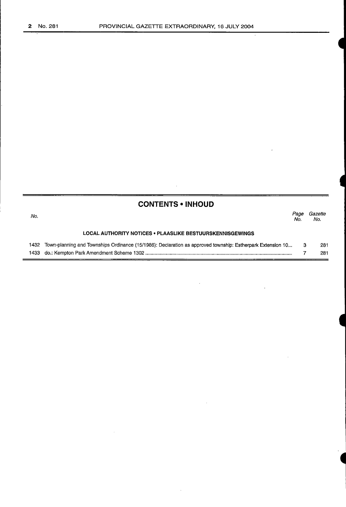| <b>CONTENTS • INHOUD</b> |                                                                                                            |             |                |
|--------------------------|------------------------------------------------------------------------------------------------------------|-------------|----------------|
| No.                      |                                                                                                            | Page<br>No. | Gazette<br>No. |
|                          | LOCAL AUTHORITY NOTICES • PLAASLIKE BESTUURSKENNISGEWINGS                                                  |             |                |
| 1432                     | Town-planning and Townships Ordinance (15/1986): Declaration as approved township: Estherpark Extension 10 | з           | 281<br>281     |

 $\bar{\phantom{a}}$ 

 $\bar{z}$ 

 $\bar{z}$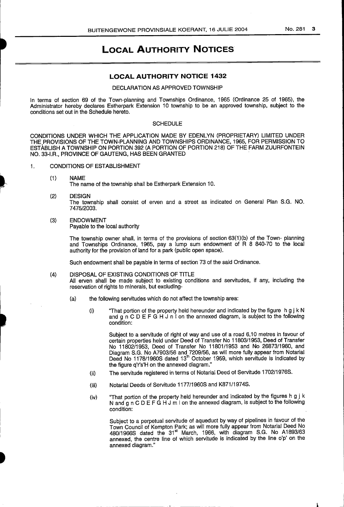# **LOCAL AUTHORITY NOTICES**

### LOCAL AUTHORITY NOTICE 1432

#### DECLARATION AS APPROVED TOWNSHIP

In terms of section 69 of the Town-planning and Townships Ordinance, 1965 (Ordinance 25 of 1965), the Administrator hereby declares Estherpark Extension 10 township to be an approved township, subject to the conditions set out in the Schedule hereto.

#### **SCHEDULE**

CONDITIONS UNDER WHICH THE APPLICATION MADE BY EDENLYN (PROPRIETARY) LIMITED UNDER THE PROVISIONS OF THE TOWN-PLANNING AND TOWNSHIPS ORDINANCE, 1965, FOR PERMISSION TO ESTABLISH A TOWNSHIP ON PORTION 392 (A PORTION OF PORTION 218) OF THE FARM ZUURFONTEIN NO. 33-I.R., PROVINCE OF GAUTENG, HAS BEEN GRANTED

- 1. CONDITIONS OF ESTABLISHMENT
	- (1) NAME

i

I

The name of the township shall be Estherpark Extension 10.

 $(2)$ 

The township shall consist of erven and a street as indicated on General Plan S.G. NO. 7475/2003.

# (3) ENDOWMENT

Payable to the local authority

The township owner shall, in terms of the provisions of section 63(1)(b) of the Town- planning and Townships Ordinance, 1965, pay a lump sum endowment of R 8 840-70 to the local authority for the provision of land for a park (public open space).

Such endowment shall be payable in terms of section 73 of the said Ordinance.

#### (4) DISPOSAL OF EXISTING CONDITIONS OF TITLE All erven shall be made subject to existing conditions and servitudes, if any, including the reservation of rights to minerals, but excluding-

- (a) the following servitudes which do not affect the township area:
	- (i) "That portion of the property held hereunder and indicated by the figure h g j k N and  $g \nightharpoonup$  C D E F G H J n I on the annexed diagram, is subject to the following condition:

Subject to a servitude of right of way and use of a road 6,10 metres in favour of certain properties held under Deed of Transfer No 11803/1953, Deed of Transfer No 11802/1953, Deed of Transfer No 11801/1953 and No 26873/1960, and Diagram S.G. No A7903/56 and 7209/56, as will more fully appear from Notarial Deed No 1178/1960S dated 13<sup>th</sup> October 1959, which servitude is indicated by the figure q'r's'H on the annexed diagram."

- (ii) The servitude registered in terms of Notarial Deed of Servitude 1702/1976S.
- (iii) Notarial Deeds of Servitude 1177/1960S and K871/1974S.
- (iv) "That portion of the property held hereunder and indicated by the figures h g j k N and g n C D E F G H J m I on the annexed diagram, is subject to the following condition:

Subject to a perpetual servitude of aqueduct by way of pipelines in favour of the Town Council of Kempton Park; as will more fully appear from Notarial Deed No 480/1966S dated the 31" March, 1966, with diagram S.G. No A1893/63 annexed, the centre line of which servitude is indicated by the line o'p' on the annexed diagram."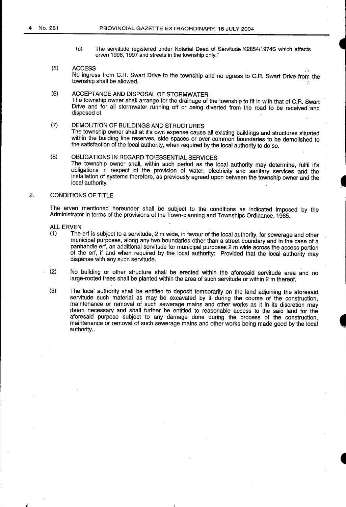(b) The servitude registered under Notarial Deed of Servitude K2854/1974S which affects erven 1996, 1997 and streets in the township only."

#### (5) ACCESS No ingress from C.R. Swart Drive to the township and no egress to C.R. Swart Drive from the township shall be allowed.

- (6) ACCEPTANCE AND DISPOSAL OF STORMWATER The township owner shall arrange for the drainage of the township to fit in with that of C.R. Swart Drive and for all stormwater running off or being diverted from the road to be received and disposed of.
- (7) DEMOLITION OF BUILDINGS AND STRUCTURES The township owner shall at it's own expense cause ail existing buildings and structures situated within the building line reserves, side spaces or over common boundaries to be demolished to the satisfaction of the local authority, when required by the local authority to do so.
- (8) OBLIGATIONS IN REGARD TO'ESSENTIAL SERVICES The township owner shall, within such period as the local authority may determine, fulfil it's obligations in respect of the provision of water, electricity and sanitary services and the installation of systems therefore, as previously agreed upon between the township owner and the local authority.

### 2. CONDITIONS OF TITLE

The erven mentioned hereunder shall be subject to the conditions as indicated imposed by the Administrator in terms of the provisions of the Town-planning and Townships Ordinance, 1965.

- ALL ERVEN
- (1) The erf issubject to a servitude, 2 mwide, in favour of the local authority, for sewerage and other municipal purposes, along any two boundaries other than a street boundaryand in the case of a panhandle erf, an additional servitude for municipal purposes 2 m wide across the access portion of the erf, if and when required by the local authority: Provided that the local authority may dispense with any such servitude.
- (2) No building or other structure shall be erected within the aforesaid servitude area and no large-rooted trees shall be planted within the area of such servitude or within 2 m thereof.
- (3) The local authority shall be entitled to deposit temporarily on the land adjoining the aforesaid servitude such material as may be excavated by it during the course of the construction, maintenance or removal of such sewerage mains and other works as it in its discretion may deem necessary and shall further be entitled to reasonable access to the said land for the aforesaid purpose subject to any damage done during the process of the construction, maintenance or removal of such sewerage mains and other works being made good by the local authority.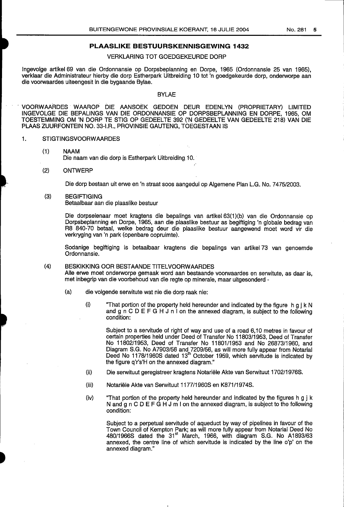### PLAASLIKE BESTUURSKENNISGEWING 1432

# VERKLARING TOT GOEDGEKEURDE DORP

Ingevolge artikel 69 van die Ordonnansie op Dorpsbeplanning en Dorpe, 1965 (Ordonnansie 25 van 1965), verklaar die Administrateur hierby die dorp Estherpark Uitbreiding 10 tot 'n goedgekeurde dorp, onderworpe aan die voorwaardes uiteengesit in die bygaande Bylae.

#### **BYLAE**

VOORWAARDES WAAROP DIE AANSOEK GEDOEN DEUR EDENLYN (PROPRIETARY) LIMITED INGEVOLGE DIE BEPALINGS VAN DIE ORDONNANSIE OP DORPSBEPLANNING EN DORPE, 1965, OM TOESTEMMING OM 'N DORP TE STIG OP GEDEELTE 392 ('N GEDEELTE VAN GEDEELTE 218) VAN DIE PLAAS ZUURFONTEIN NO. 33-I.R., PROVINSIE GAUTENG, TOEGESTAAN IS

### 1. STIGTINGSVOORWAARDES

- (1) NAAM Die naam van die dorp is Estherpark Uitbreiding 10.
- (2) ONTWERP

I

Die dorp bestaan uit erwe en 'n straat soos aangedui op Algemene Plan L.G. No. 7475/2003.

(3) BEGIFTIGING Betaalbaar aan die plaasiike bestuur

> Die dorpseienaar moet kragtens die bepalings van artikel 63(1)(b) van die Ordonnansie op Dorpsbeplanning en Dorpe, 1965, aan die plaasiike bestuur as begiftiging 'n globale bedrag van R8 840-70 betaal, weike bedrag deur die plaasiike bestuur aangewend moet word vir die verkryging van 'n park (openbare oopruimte).

> Sodanige begiftiging is betaalbaar kragtens die bepalings van artikel 73 van genoemde Ordonnansie.

# (4) BESKIKKING OOR BESTAANDE TITELVOORWAARDES Alle enwe moet onderworpe gemaak word aan bestaande voorwaardes en serwitute, as daar is, met inbegrip van die voorbehoud van die regte op minerale, maar uitgesonderd -

- (a) die volgende serwitute wat nie die dorp raak nie;
	- (i) "That portion of the property held hereunder and indicated by the figure  $h \cdot g \cdot k \cdot N$ and g  $n \text{ } C \text{ } D \text{ } E \text{ } F \text{ } G \text{ } H \text{ } J \text{ } n \text{ } I$  on the annexed diagram, is subject to the following condition:

Subject to a servitude of right of way and use of a road 6,10 metres in favour of certain properties held under Deed of Transfer No 11803/1953, Deed of Transfer No 11802/1953, Deed of Transfer No 11801/1953 and No 26873/1960, and Diagram S.G. No A7903/56 and 7209/56, as will more fully appear from Notarial Deed No 1178/1960S dated 13<sup>th</sup> October 1959, which servitude is indicated by the figure q'r's'H on the annexed diagram."

- (ii) Die senwituut geregistreer kragtens Notariele Akte van Serwituut 1702/1976S.
- (iii) Notariele Akte van Senwituut 1177/1960S en K871 /1974S.
- (iv) "That portion of the property held hereunder and indicated by the figures h g j k N and g  $n \in D \in F$  G H J m I on the annexed diagram, is subject to the following condition;

Subject to a perpetual servitude of aqueduct by way of pipelines in favour of the Town Council of Kempton Park; as will more fully appear from Notarial Deed No 480/1966S dated the 31®' March, 1966, with diagram S.G. No AI893/63 annexed, the centre line of which servitude is indicated by the line o'p' on the annexed diagram."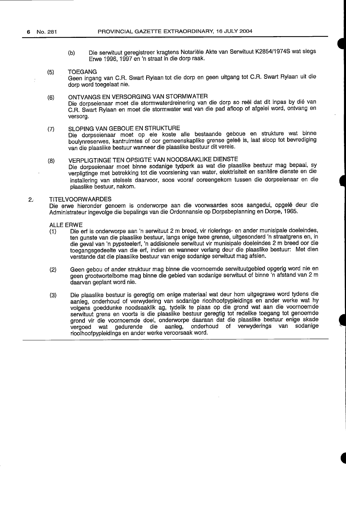- (b) Die serwituut geregistreer kragtens Notariële Akte van Serwituut K2854/1974S wat slegs Erwe 1996, 1997 en 'n straat in die dorp raak.
- (5) TOEGANG Geen ingang van G.R. Swart Rylaan tot die dorp en geen uitgang tot C.R. Swart Rylaan uit die dorp word toegelaat nie.
- (6) ONTVANGS EN VERSORGING VAN STORMWATER Die dorpseienaar moet die stormwaterdreinering van die dorp so reel dat dit inpas by die van C.R. Swart Rylaan en moet die stormwater wat van die pad afloop of afgelei word, ontvang en versorg.
- (7) SLOPING VAN GEBOUE EN STRUKTURE Die dorpseienaar moet op eie koste alle bestaande geboue en strukture wat binne boulynreserwes, kantruimtes of oor gemeenskaplike grense geleë is, laat sloop tot bevrediging van die plaaslike bestuur wanneer die plaaslike bestuur dit vereis.
- (8) VERPLIGTINGE TEN OPSIGTE VAN NOODSAAKLIKE DIENSTE<br>Die dorpseienaar moet binne sodanige tydperk as wat die plaaslike bestuur mag bepaal, sy verpligtinge met betrekking tot die voorsiening van water, elektrisiteit en sanitêre dienste en die installering van stelsels daarvoor, soos vooraf ooreengekom tussen die dorpseienaar en die plaaslike bestuur, nakom.

#### 2. TITELVOORWAARDES

Die erwe hieronder genoem is onderworpe aan die voorwaardes soos aangedui, opgelê deur die Administrateur ingevolge die bepalings van die Ordonnansie op Dorpsbeplanning en Dorpe, 1965.

ALLE ERWE

- (1) Die erf is onderworpe aan 'n serwituut 2 m breed, virriolerings- en ander munisipale doeleindes, ten gunste van die plaaslike bestuur, langs enige twee grense, uitgesonderd 'n straatgrens en, in die geval van 'n pypsteelerf, 'n addisionele serwituut vir munisipale doeleindes 2 m breed oor die toegangsgedeelte van die erf, indien en wanneer verlang deur die plaaslike bestuur: Met dien verstande dat die plaaslike bestuur van enige sodanige serwituut mag afsien.
- (2) Geen gebou of ander struktuur mag binne die voornoemde serwituutgebied opgerig word nie en geen grootwortelbome mag binne die gebied van sodanige serwituut of binne 'n afstand van 2 m daarvan geplant word nie.
- (3) Die plaaslike bestuur is geregtig om enige materiaal wat deur hom uitgegrawe word tydens die aanieg, onderhoud of verwydering van sodanige rioolhoofpypleidings en ander werke wat hy volgens goeddunke noodsaaklik ag, tydelik te plaas op die grond wat aan die voornoemde serwituut grens en voorts is die plaaslike bestuur geregtig tot redelike toegang tot genoemde grond vir die voornoemde doel, onderworpe daaraan dat die plaaslike bestuur enige skade<br>vergoed wat gedurende die aanleg, onderhoud of verwyderings van sodanige onderhoud of verwyderings van sodanige rioolhoofpypleidings en ander werke veroorsaak word.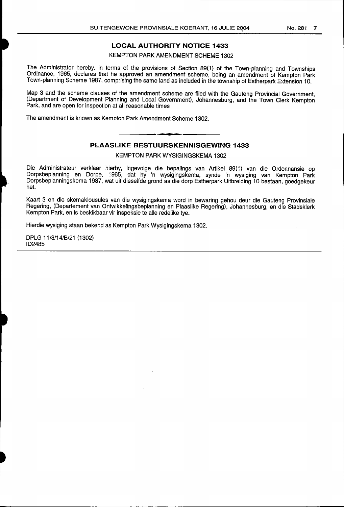# LOCAL AUTHORITY NOTICE 1433

### KEMPTON PARK AMENDMENT SCHEME 1302

The Administrator hereby, in terms of the provisions of Section 89(1) of the Town-planning and Townships Ordinance, 1965, declares that he approved an amendment scheme, being an amendment of Kempton Park Town-planning Scheme 1987, comprising the same land as included in the township of Estherpark Extension 10.

Map 3 and the scheme clauses of the amendment scheme are filed with the Gauteng Provincial Government, (Department of Development Planning and Local Government), Johannesburg, and the Town Clerk Kempton Park, and are open for inspection at all reasonable times

The amendment is known as Kempton Park Amendment Scheme 1302.

# PLAASLIKE BESTUURSKENNISGEWING 1433

KEMPTON PARK WYSIGINGSKEMA 1302

Die Administrateur verkiaar hierby, ingevolge die bepalings van Artikel 89(1) van die Ordonnansie op Dorpsbeplanning en Dorpe, 1965, dat hy 'n wysigingskema, synde 'n wysiging van Kempton Park Dorpsbeplanningskema 1987, wat uit dieselfde grond as die dorp Estherpark Uitbreiding 10 bestaan, goedgekeur het.

Kaart 3 en die skemaklousules van die wysigingskema word in bewaring gehou deur die Gauteng Provinsiale Regering, (Departement van Ontwikkelingsbeplanning en Plaaslike Regering), Johannesburg, en die Stadsklerk Kempton Park, en is beskikbaar vir inspeksie te alle redelike tye.

Hierdie wysiging staan bekend as Kempton Park Wysigingskema 1302.

DPLG 11/3/14/B/21 (1302) ID2485